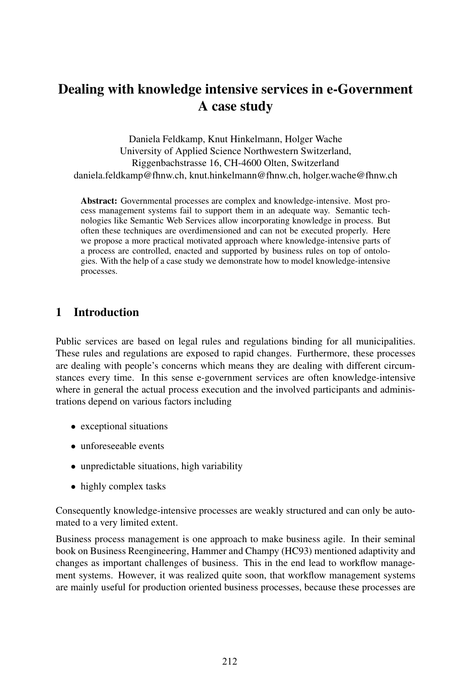# Dealing with knowledge intensive services in e-Government A case study

Daniela Feldkamp, Knut Hinkelmann, Holger Wache University of Applied Science Northwestern Switzerland, Riggenbachstrasse 16, CH-4600 Olten, Switzerland daniela.feldkamp@fhnw.ch, knut.hinkelmann@fhnw.ch, holger.wache@fhnw.ch

Abstract: Governmental processes are complex and knowledge-intensive. Most process management systems fail to support them in an adequate way. Semantic technologies like Semantic Web Services allow incorporating knowledge in process. But often these techniques are overdimensioned and can not be executed properly. Here we propose a more practical motivated approach where knowledge-intensive parts of a process are controlled, enacted and supported by business rules on top of ontologies. With the help of a case study we demonstrate how to model knowledge-intensive processes.

#### 1 Introduction

Public services are based on legal rules and regulations binding for all municipalities. These rules and regulations are exposed to rapid changes. Furthermore, these processes are dealing with people's concerns which means they are dealing with different circumstances every time. In this sense e-government services are often knowledge-intensive where in general the actual process execution and the involved participants and administrations depend on various factors including

- exceptional situations
- unforeseeable events
- unpredictable situations, high variability
- highly complex tasks

Consequently knowledge-intensive processes are weakly structured and can only be automated to a very limited extent.

Business process management is one approach to make business agile. In their seminal book on Business Reengineering, Hammer and Champy (HC93) mentioned adaptivity and changes as important challenges of business. This in the end lead to workflow management systems. However, it was realized quite soon, that workflow management systems are mainly useful for production oriented business processes, because these processes are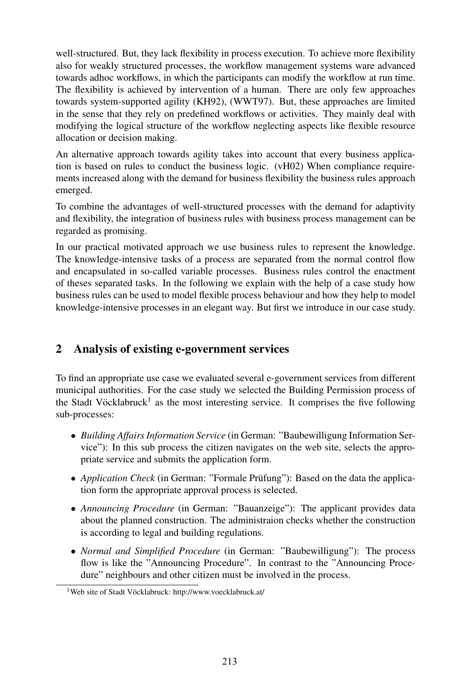well-structured. But, they lack flexibility in process execution. To achieve more flexibility also for weakly structured processes, the workflow management systems ware advanced towards adhoc workflows, in which the participants can modify the workflow at run time. The flexibility is achieved by intervention of a human. There are only few approaches towards system-supported agility (KH92), (WWT97). But, these approaches are limited in the sense that they rely on predefined workflows or activities. They mainly deal with modifying the logical structure of the workflow neglecting aspects like flexible resource allocation or decision making.

An alternative approach towards agility takes into account that every business application is based on rules to conduct the business logic. (vH02) When compliance requirements increased along with the demand for business flexibility the business rules approach emerged.

To combine the advantages of well-structured processes with the demand for adaptivity and flexibility, the integration of business rules with business process management can be regarded as promising.

In our practical motivated approach we use business rules to represent the knowledge. The knowledge-intensive tasks of a process are separated from the normal control flow and encapsulated in so-called variable processes. Business rules control the enactment of theses separated tasks. In the following we explain with the help of a case study how business rules can be used to model flexible process behaviour and how they help to model knowledge-intensive processes in an elegant way. But first we introduce in our case study.

## 2 Analysis of existing e-government services

To find an appropriate use case we evaluated several e-government services from different municipal authorities. For the case study we selected the Building Permission process of the Stadt Vöcklabruck<sup>1</sup> as the most interesting service. It comprises the five following sub-processes:

- *Building Affairs Information Service* (in German: "Baubewilligung Information Service"): In this sub process the citizen navigates on the web site, selects the appropriate service and submits the application form.
- *Application Check* (in German: "Formale Prüfung"): Based on the data the application form the appropriate approval process is selected.
- *Announcing Procedure* (in German: "Bauanzeige"): The applicant provides data about the planned construction. The administraion checks whether the construction is according to legal and building regulations.
- *Normal and Simplified Procedure* (in German: "Baubewilligung"): The process flow is like the "Announcing Procedure". In contrast to the "Announcing Procedure" neighbours and other citizen must be involved in the process.

<sup>&</sup>lt;sup>1</sup>Web site of Stadt Vöcklabruck: http://www.voecklabruck.at/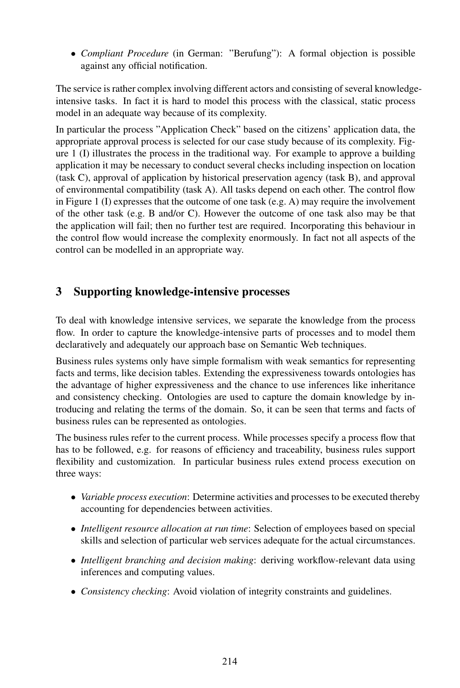• *Compliant Procedure* (in German: "Berufung"): A formal objection is possible against any official notification.

The service is rather complex involving different actors and consisting of several knowledgeintensive tasks. In fact it is hard to model this process with the classical, static process model in an adequate way because of its complexity.

In particular the process "Application Check" based on the citizens' application data, the appropriate approval process is selected for our case study because of its complexity. Figure 1 (I) illustrates the process in the traditional way. For example to approve a building application it may be necessary to conduct several checks including inspection on location (task C), approval of application by historical preservation agency (task B), and approval of environmental compatibility (task A). All tasks depend on each other. The control flow in Figure 1 (I) expresses that the outcome of one task (e.g. A) may require the involvement of the other task (e.g. B and/or C). However the outcome of one task also may be that the application will fail; then no further test are required. Incorporating this behaviour in the control flow would increase the complexity enormously. In fact not all aspects of the control can be modelled in an appropriate way.

## 3 Supporting knowledge-intensive processes

To deal with knowledge intensive services, we separate the knowledge from the process flow. In order to capture the knowledge-intensive parts of processes and to model them declaratively and adequately our approach base on Semantic Web techniques.

Business rules systems only have simple formalism with weak semantics for representing facts and terms, like decision tables. Extending the expressiveness towards ontologies has the advantage of higher expressiveness and the chance to use inferences like inheritance and consistency checking. Ontologies are used to capture the domain knowledge by introducing and relating the terms of the domain. So, it can be seen that terms and facts of business rules can be represented as ontologies.

The business rules refer to the current process. While processes specify a process flow that has to be followed, e.g. for reasons of efficiency and traceability, business rules support flexibility and customization. In particular business rules extend process execution on three ways:

- *Variable process execution*: Determine activities and processesto be executed thereby accounting for dependencies between activities.
- *Intelligent resource allocation at run time*: Selection of employees based on special skills and selection of particular web services adequate for the actual circumstances.
- *Intelligent branching and decision making*: deriving workflow-relevant data using inferences and computing values.
- *Consistency checking*: Avoid violation of integrity constraints and guidelines.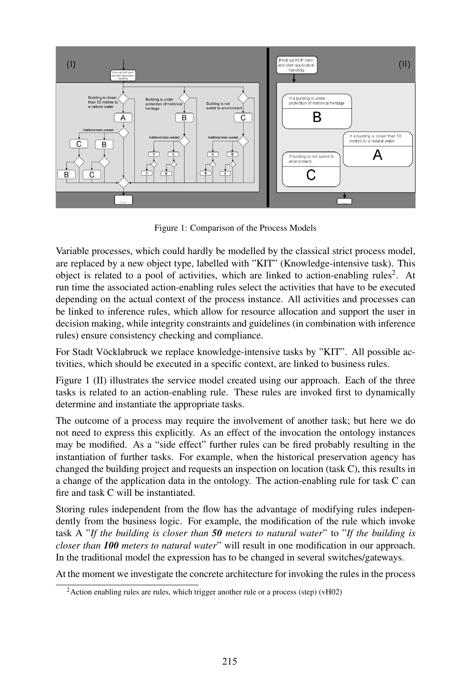

Figure 1: Comparison of the Process Models

Variable processes, which could hardly be modelled by the classical strict process model, are replaced by a new object type, labelled with "KIT" (Knowledge-intensive task). This object is related to a pool of activities, which are linked to action-enabling rules<sup>2</sup>. At run time the associated action-enabling rules select the activities that have to be executed depending on the actual context of the process instance. All activities and processes can be linked to inference rules, which allow for resource allocation and support the user in decision making, while integrity constraints and guidelines (in combination with inference rules) ensure consistency checking and compliance.

For Stadt Vöcklabruck we replace knowledge-intensive tasks by "KIT". All possible activities, which should be executed in a specific context, are linked to business rules.

Figure 1 (II) illustrates the service model created using our approach. Each of the three tasks is related to an action-enabling rule. These rules are invoked first to dynamically determine and instantiate the appropriate tasks.

The outcome of a process may require the involvement of another task; but here we do not need to express this explicitly. As an effect of the invocation the ontology instances may be modified. As a "side effect" further rules can be fired probably resulting in the instantiation of further tasks. For example, when the historical preservation agency has changed the building project and requests an inspection on location (task C), this results in a change of the application data in the ontology. The action-enabling rule for task C can fire and task C will be instantiated.

Storing rules independent from the flow has the advantage of modifying rules independently from the business logic. For example, the modification of the rule which invoke task A "*If the building is closer than 50 meters to natural water*" to "*If the building is closer than 100 meters to natural water*" will result in one modification in our approach. In the traditional model the expression has to be changed in several switches/gateways.

At the moment we investigate the concrete architecture for invoking the rules in the process

 $2$ Action enabling rules are rules, which trigger another rule or a process (step) (vH02)